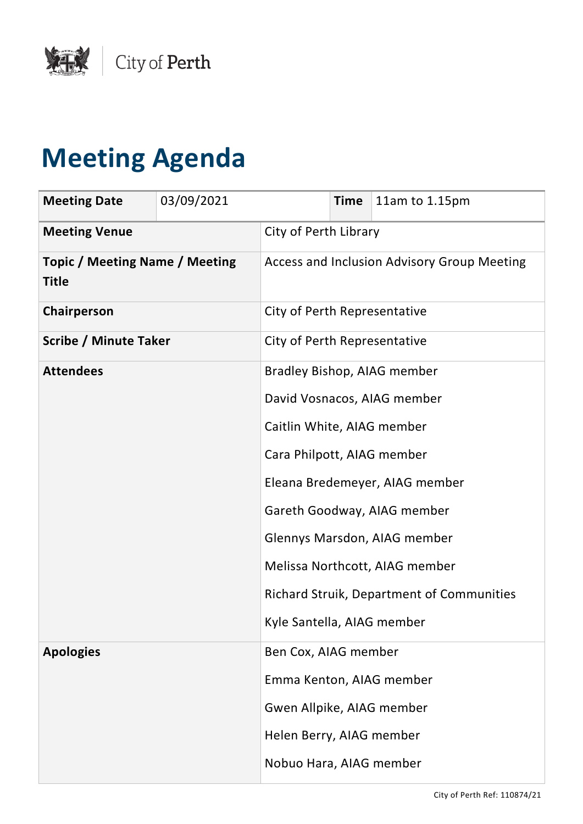

## **Meeting Agenda**

| <b>Meeting Date</b>                                   | 03/09/2021 |                                                  | <b>Time</b> | 11am to 1.15pm                              |
|-------------------------------------------------------|------------|--------------------------------------------------|-------------|---------------------------------------------|
| <b>Meeting Venue</b>                                  |            | City of Perth Library                            |             |                                             |
| <b>Topic / Meeting Name / Meeting</b><br><b>Title</b> |            |                                                  |             | Access and Inclusion Advisory Group Meeting |
| Chairperson                                           |            | City of Perth Representative                     |             |                                             |
| <b>Scribe / Minute Taker</b>                          |            | City of Perth Representative                     |             |                                             |
| <b>Attendees</b>                                      |            |                                                  |             | Bradley Bishop, AIAG member                 |
|                                                       |            | David Vosnacos, AIAG member                      |             |                                             |
|                                                       |            | Caitlin White, AIAG member                       |             |                                             |
|                                                       |            | Cara Philpott, AIAG member                       |             |                                             |
|                                                       |            | Eleana Bredemeyer, AIAG member                   |             |                                             |
|                                                       |            | Gareth Goodway, AIAG member                      |             |                                             |
|                                                       |            | Glennys Marsdon, AIAG member                     |             |                                             |
|                                                       |            | Melissa Northcott, AIAG member                   |             |                                             |
|                                                       |            | <b>Richard Struik, Department of Communities</b> |             |                                             |
|                                                       |            | Kyle Santella, AIAG member                       |             |                                             |
| <b>Apologies</b>                                      |            | Ben Cox, AIAG member                             |             |                                             |
|                                                       |            | Emma Kenton, AIAG member                         |             |                                             |
|                                                       |            | Gwen Allpike, AIAG member                        |             |                                             |
|                                                       |            | Helen Berry, AIAG member                         |             |                                             |
|                                                       |            | Nobuo Hara, AIAG member                          |             |                                             |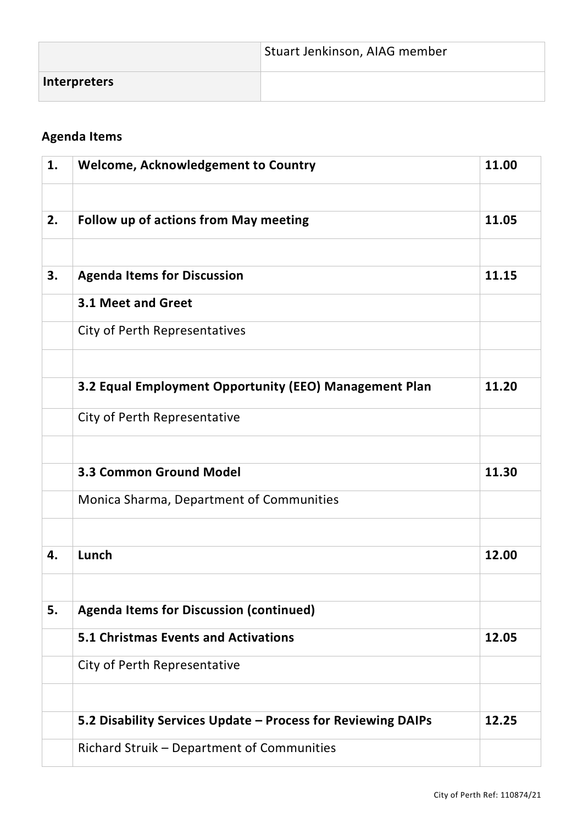|                     | Stuart Jenkinson, AIAG member |
|---------------------|-------------------------------|
| <b>Interpreters</b> |                               |

## **Agenda Items**

| 1. | <b>Welcome, Acknowledgement to Country</b>                   | 11.00 |
|----|--------------------------------------------------------------|-------|
|    |                                                              |       |
| 2. | <b>Follow up of actions from May meeting</b>                 | 11.05 |
|    |                                                              |       |
| 3. | <b>Agenda Items for Discussion</b>                           | 11.15 |
|    | 3.1 Meet and Greet                                           |       |
|    | City of Perth Representatives                                |       |
|    |                                                              |       |
|    | 3.2 Equal Employment Opportunity (EEO) Management Plan       | 11.20 |
|    | City of Perth Representative                                 |       |
|    |                                                              |       |
|    | <b>3.3 Common Ground Model</b>                               | 11.30 |
|    | Monica Sharma, Department of Communities                     |       |
|    |                                                              |       |
| 4. | Lunch                                                        | 12.00 |
|    |                                                              |       |
| 5. | <b>Agenda Items for Discussion (continued)</b>               |       |
|    | <b>5.1 Christmas Events and Activations</b>                  | 12.05 |
|    | City of Perth Representative                                 |       |
|    |                                                              |       |
|    | 5.2 Disability Services Update - Process for Reviewing DAIPs | 12.25 |
|    | Richard Struik - Department of Communities                   |       |